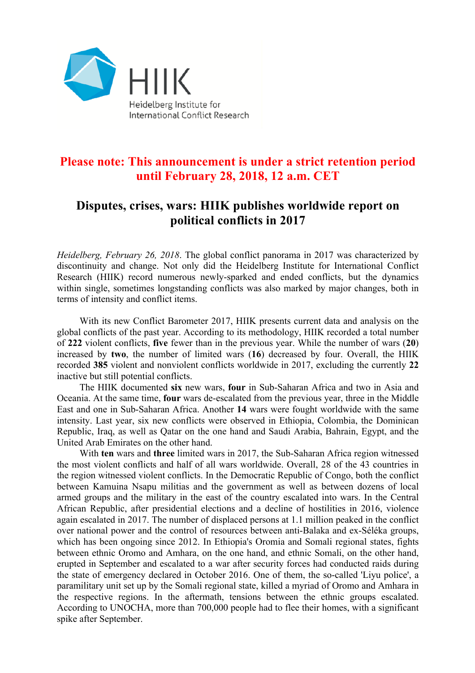

## **Please note: This announcement is under a strict retention period until February 28, 2018, 12 a.m. CET**

## **Disputes, crises, wars: HIIK publishes worldwide report on political conflicts in 2017**

*Heidelberg, February 26, 2018*. The global conflict panorama in 2017 was characterized by discontinuity and change. Not only did the Heidelberg Institute for International Conflict Research (HIIK) record numerous newly-sparked and ended conflicts, but the dynamics within single, sometimes longstanding conflicts was also marked by major changes, both in terms of intensity and conflict items.

With its new Conflict Barometer 2017, HIIK presents current data and analysis on the global conflicts of the past year. According to its methodology, HIIK recorded a total number of **222** violent conflicts, **five** fewer than in the previous year. While the number of wars (**20**) increased by **two**, the number of limited wars (**16**) decreased by four. Overall, the HIIK recorded **385** violent and nonviolent conflicts worldwide in 2017, excluding the currently **22** inactive but still potential conflicts.

The HIIK documented **six** new wars, **four** in Sub-Saharan Africa and two in Asia and Oceania. At the same time, **four** wars de-escalated from the previous year, three in the Middle East and one in Sub-Saharan Africa. Another **14** wars were fought worldwide with the same intensity. Last year, six new conflicts were observed in Ethiopia, Colombia, the Dominican Republic, Iraq, as well as Qatar on the one hand and Saudi Arabia, Bahrain, Egypt, and the United Arab Emirates on the other hand.

With **ten** wars and **three** limited wars in 2017, the Sub-Saharan Africa region witnessed the most violent conflicts and half of all wars worldwide. Overall, 28 of the 43 countries in the region witnessed violent conflicts. In the Democratic Republic of Congo, both the conflict between Kamuina Nsapu militias and the government as well as between dozens of local armed groups and the military in the east of the country escalated into wars. In the Central African Republic, after presidential elections and a decline of hostilities in 2016, violence again escalated in 2017. The number of displaced persons at 1.1 million peaked in the conflict over national power and the control of resources between anti-Balaka and ex-Séléka groups, which has been ongoing since 2012. In Ethiopia's Oromia and Somali regional states, fights between ethnic Oromo and Amhara, on the one hand, and ethnic Somali, on the other hand, erupted in September and escalated to a war after security forces had conducted raids during the state of emergency declared in October 2016. One of them, the so-called 'Liyu police', a paramilitary unit set up by the Somali regional state, killed a myriad of Oromo and Amhara in the respective regions. In the aftermath, tensions between the ethnic groups escalated. According to UNOCHA, more than 700,000 people had to flee their homes, with a significant spike after September.